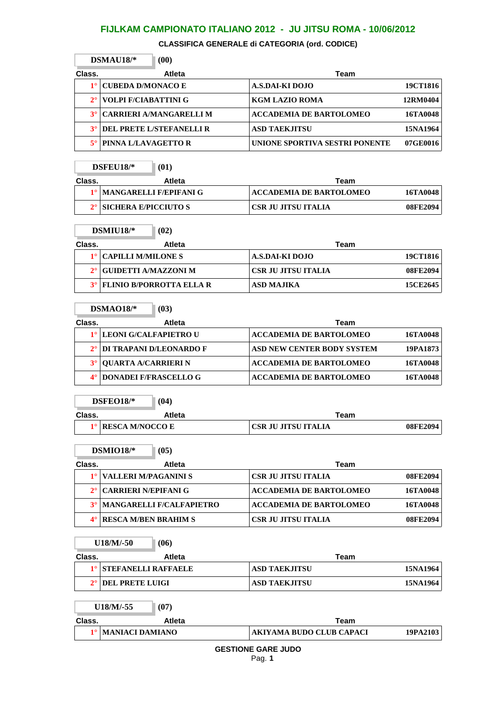**CLASSIFICA GENERALE di CATEGORIA (ord. CODICE)**

|           | $DSMAU18/*$<br>(00)            |                                |          |
|-----------|--------------------------------|--------------------------------|----------|
| Class.    | <b>Atleta</b>                  | Team                           |          |
|           | <b>CUBEDA D/MONACO E</b>       | A.S.DAI-KI DOJO                | 19CT1816 |
|           | <b>VOLPI F/CIABATTINI G</b>    | <b>KGM LAZIO ROMA</b>          | 12RM0404 |
| $3^\circ$ | <b>CARRIERI A/MANGARELLI M</b> | <b>ACCADEMIA DE BARTOLOMEO</b> | 16TA0048 |
| $3^\circ$ | DEL PRETE L/STEFANELLI R       | <b>ASD TAEKJITSU</b>           | 15NA1964 |
|           | PINNA L/LAVAGETTO R            | UNIONE SPORTIVA SESTRI PONENTE | 07GE0016 |

|        | $DSFEU18/*$                    | (01)   |                         |          |
|--------|--------------------------------|--------|-------------------------|----------|
| Class. |                                | Atleta | Team                    |          |
|        | 1º   MANGARELLI F/EPIFANI G    |        | ACCADEMIA DE BARTOLOMEO | 16TA0048 |
|        | $2^\circ$ SICHERA E/PICCIUTO S |        | ' CSR JU JITSU ITALIA   | 08FE2094 |

 $\Gamma$ 

|        | $DSMIU18/*$<br>(02)         |                            |          |
|--------|-----------------------------|----------------------------|----------|
| Class. | <b>Atleta</b>               | Team                       |          |
|        | 1°   CAPILLI M/MILONE S     | A.S.DAI-KI DOJO            | 19CT1816 |
|        | 2° GUIDETTI A/MAZZONI M     | <b>CSR JU JITSU ITALIA</b> | 08FE2094 |
|        | 3° FLINIO B/PORROTTA ELLA R | <b>ASD MAJIKA</b>          | 15CE2645 |

|        | $DSMAO18/*$<br>(03)          |                                            |          |
|--------|------------------------------|--------------------------------------------|----------|
| Class. | Atleta                       | Team                                       |          |
|        | 1º LEONI G/CALFAPIETRO U     | <b>ACCADEMIA DE BARTOLOMEO</b><br>16TA0048 |          |
|        | 2° DI TRAPANI D/LEONARDO F   | <b>ASD NEW CENTER BODY SYSTEM</b>          | 19PA1873 |
|        | <b>OUARTA A/CARRIERI N</b>   | <b>ACCADEMIA DE BARTOLOMEO</b><br>16TA0048 |          |
|        | <b>DONADEI F/FRASCELLO G</b> | <b>ACCADEMIA DE BARTOLOMEO</b><br>16TA0048 |          |

|        | $DSFEO18/*$        | (04)   |                     |          |
|--------|--------------------|--------|---------------------|----------|
| Class. |                    | Atleta | Team                |          |
|        | 1° RESCA M/NOCCO E |        | CSR JU JITSU ITALIA | 08FE2094 |

|        | $DSMIO18/*$                         | (05)                                 |                                |          |
|--------|-------------------------------------|--------------------------------------|--------------------------------|----------|
| Class. |                                     | Atleta                               | Team                           |          |
|        | VALLERI M/PAGANINI S                |                                      | <b>CSR JU JITSU ITALIA</b>     | 08FE2094 |
|        | 2 <sup>°</sup> CARRIERI N/EPIFANI G |                                      | <b>ACCADEMIA DE BARTOLOMEO</b> | 16TA0048 |
|        |                                     | <b>3°   MANGARELLI F/CALFAPIETRO</b> | <b>ACCADEMIA DE BARTOLOMEO</b> | 16TA0048 |
|        | <b>RESCA M/BEN BRAHIM S</b>         |                                      | CSR JU JITSU ITALIA            | 08FE2094 |

|             | $U18/M/-50$<br>(06)        |                                 |                 |
|-------------|----------------------------|---------------------------------|-----------------|
| Class.      | <b>Atleta</b>              | Team                            |                 |
| $1^{\circ}$ | <b>STEFANELLI RAFFAELE</b> | <b>ASD TAEKJITSU</b>            | <b>15NA1964</b> |
| $2^{\circ}$ | DEL PRETE LUIGI            | <b>ASD TAEKJITSU</b>            | 15NA1964        |
|             | U18/M/-55<br>(07)          |                                 |                 |
| Class.      | Atleta                     | Team                            |                 |
| $1^{\circ}$ | <b>MANIACI DAMIANO</b>     | <b>AKIYAMA BUDO CLUB CAPACI</b> | 19PA2103        |
|             |                            | <b>GESTIONE GARE JUDO</b>       |                 |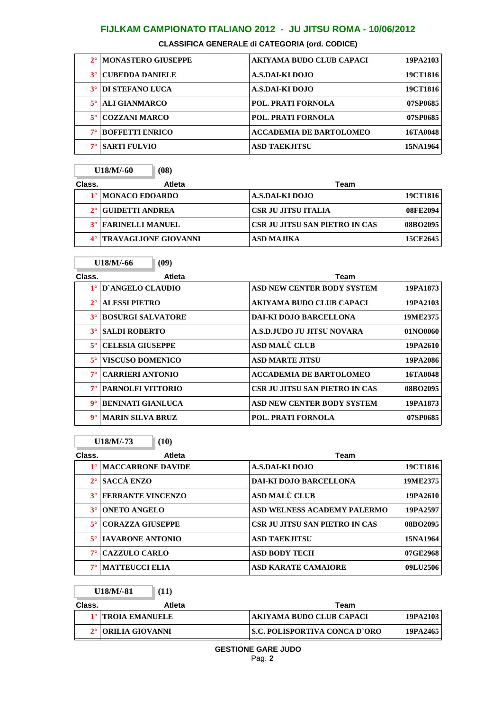**CLASSIFICA GENERALE di CATEGORIA (ord. CODICE)**

|             | 2º   MONASTERO GIUSEPPE | AKIYAMA BUDO CLUB CAPACI       | 19PA2103        |
|-------------|-------------------------|--------------------------------|-----------------|
|             | <b>CUBEDDA DANIELE</b>  | A.S.DAI-KI DOJO                | 19CT1816        |
| $3^\circ$   | <b>DI STEFANO LUCA</b>  | A.S.DAI-KI DOJO                | <b>19CT1816</b> |
| $5^{\circ}$ | <b>ALI GIANMARCO</b>    | <b>POL. PRATI FORNOLA</b>      | 07SP0685        |
| $5^{\circ}$ | <b>COZZANI MARCO</b>    | POL. PRATI FORNOLA             | 07SP0685        |
| $7^\circ$   | <b>BOFFETTI ENRICO</b>  | <b>ACCADEMIA DE BARTOLOMEO</b> | 16TA0048        |
|             | <b>SARTI FULVIO</b>     | <b>ASD TAEKJITSU</b>           | 15NA1964        |

|        | U18/M/-60                   | (08)          |                                |          |
|--------|-----------------------------|---------------|--------------------------------|----------|
| Class. |                             | <b>Atleta</b> | Team                           |          |
|        | 1º   MONACO EDOARDO         |               | A.S.DAI-KI DOJO                | 19CT1816 |
|        | GUIDETTI ANDREA             |               | <b>CSR JU JITSU ITALIA</b>     | 08FE2094 |
|        | <b>3° FARINELLI MANUEL</b>  |               | CSR JU JITSU SAN PIETRO IN CAS | 08BO2095 |
|        | <b>TRAVAGLIONE GIOVANNI</b> |               | <b>ASD MAJIKA</b>              | 15CE2645 |

÷.

Г

|                      | U18/M/-66<br>(09)        |                                   |          |
|----------------------|--------------------------|-----------------------------------|----------|
| Class.               | <b>Atleta</b>            | Team                              |          |
| $1^{\circ}$          | D'ANGELO CLAUDIO         | <b>ASD NEW CENTER BODY SYSTEM</b> | 19PA1873 |
| $2^{\circ}$          | <b>ALESSI PIETRO</b>     | AKIYAMA BUDO CLUB CAPACI          | 19PA2103 |
| $3^\circ$            | <b>BOSURGI SALVATORE</b> | DAI-KI DOJO BARCELLONA            | 19ME2375 |
| $3^\circ$            | <b>SALDI ROBERTO</b>     | A.S.D.JUDO JU JITSU NOVARA        | 01NO0060 |
| $5^{\circ}$          | <b>CELESIA GIUSEPPE</b>  | ASD MALÙ CLUB                     | 19PA2610 |
| $5^{\circ}$          | <b>VISCUSO DOMENICO</b>  | ASD MARTE JITSU                   | 19PA2086 |
| $7^{\circ}$          | <b>CARRIERI ANTONIO</b>  | <b>ACCADEMIA DE BARTOLOMEO</b>    | 16TA0048 |
| $7^\circ$            | <b>PARNOLFI VITTORIO</b> | CSR JU JITSU SAN PIETRO IN CAS    | 08BO2095 |
| $\mathbf{Q}^{\circ}$ | <b>BENINATI GIANLUCA</b> | ASD NEW CENTER BODY SYSTEM        | 19PA1873 |
| $\mathbf{Q}^{\circ}$ | <b>MARIN SILVA BRUZ</b>  | POL. PRATI FORNOLA                | 07SP0685 |

|             | $U18/M/-73$              | (10)          |                                       |          |
|-------------|--------------------------|---------------|---------------------------------------|----------|
| Class.      |                          | <b>Atleta</b> | Team                                  |          |
|             | <b>MACCARRONE DAVIDE</b> |               | A.S.DAI-KI DOJO                       | 19CT1816 |
|             | <b>SACCÀ ENZO</b>        |               | <b>DAI-KI DOJO BARCELLONA</b>         | 19ME2375 |
| $3^\circ$   | <b>FERRANTE VINCENZO</b> |               | ASD MALÙ CLUB                         | 19PA2610 |
| $3^\circ$   | <b>ONETO ANGELO</b>      |               | ASD WELNESS ACADEMY PALERMO           | 19PA2597 |
| $5^{\circ}$ | <b>CORAZZA GIUSEPPE</b>  |               | <b>CSR JU JITSU SAN PIETRO IN CAS</b> | 08BO2095 |
| $5^{\circ}$ | <b>IAVARONE ANTONIO</b>  |               | <b>ASD TAEKJITSU</b>                  | 15NA1964 |
| $7^\circ$   | <b>CAZZULO CARLO</b>     |               | <b>ASD BODY TECH</b>                  | 07GE2968 |
| $7^\circ$   | <b>MATTEUCCI ELIA</b>    |               | <b>ASD KARATE CAMAIORE</b>            | 09LU2506 |

| U18/M/-81<br>(11) |                                |                                      |          |
|-------------------|--------------------------------|--------------------------------------|----------|
| Class.            | Atleta                         | Team                                 |          |
|                   | 1 <sup>°</sup> TROIA EMANUELE  | AKIYAMA BUDO CLUB CAPACI             | 19PA2103 |
|                   | 2 <sup>°</sup> ORILIA GIOVANNI | <b>S.C. POLISPORTIVA CONCA D`ORO</b> | 19PA2465 |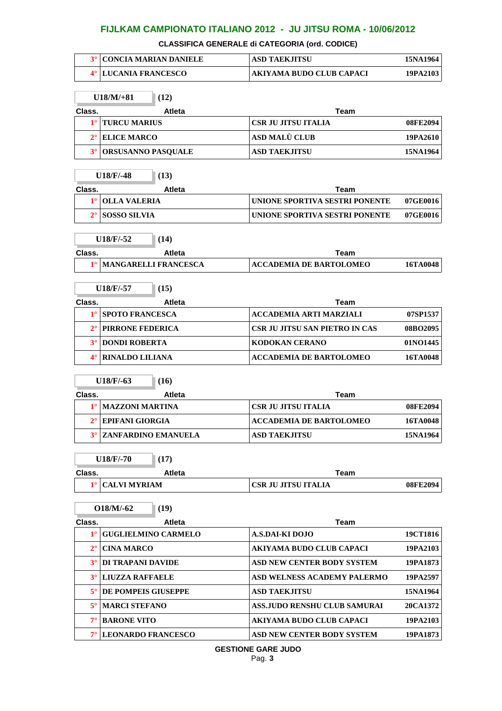**CLASSIFICA GENERALE di CATEGORIA (ord. CODICE)**

| <b>3º   CONCIA MARIAN DANIELE</b> | <b>ASD TAEKJITSU</b>     | 15NA1964 |
|-----------------------------------|--------------------------|----------|
| 4° LUCANIA FRANCESCO              | AKIYAMA BUDO CLUB CAPACI | 19PA2103 |

|             | $U18/M/+81$<br>(12)                     |                                        |          |
|-------------|-----------------------------------------|----------------------------------------|----------|
| Class.      | <b>Atleta</b>                           | <b>Team</b>                            |          |
| $1^{\circ}$ | <b>TURCU MARIUS</b>                     | <b>CSR JU JITSU ITALIA</b>             | 08FE2094 |
| $2^{\circ}$ | <b>ELICE MARCO</b>                      | ASD MALÙ CLUB                          | 19PA2610 |
| $3^\circ$   | ORSUSANNO PASQUALE                      | <b>ASD TAEKJITSU</b>                   | 15NA1964 |
|             | U18/F/-48<br>(13)                       |                                        |          |
| Class.      | Atleta                                  | Team                                   |          |
| $1^{\circ}$ | <b>OLLA VALERIA</b>                     | UNIONE SPORTIVA SESTRI PONENTE         | 07GE0016 |
| $2^{\circ}$ | <b>SOSSO SILVIA</b>                     | UNIONE SPORTIVA SESTRI PONENTE         | 07GE0016 |
|             | U18/F/-52<br>(14)                       |                                        |          |
| Class.      | Atleta                                  | Team                                   |          |
| $1^{\circ}$ | <b>MANGARELLI FRANCESCA</b>             | <b>ACCADEMIA DE BARTOLOMEO</b>         | 16TA0048 |
|             | U18/F/-57<br>(15)                       |                                        |          |
| Class.      |                                         |                                        |          |
| $1^{\circ}$ | <b>Atleta</b><br><b>SPOTO FRANCESCA</b> | Team<br><b>ACCADEMIA ARTI MARZIALI</b> | 07SP1537 |
| $2^{\circ}$ | PIRRONE FEDERICA                        | CSR JU JITSU SAN PIETRO IN CAS         | 08BO2095 |
| $3^\circ$   | <b>DONDI ROBERTA</b>                    | <b>KODOKAN CERANO</b>                  | 01NO1445 |
| $4^\circ$   |                                         |                                        |          |
|             | <b>RINALDO LILIANA</b>                  | <b>ACCADEMIA DE BARTOLOMEO</b>         | 16TA0048 |
|             | $U18/F/-63$<br>(16)                     |                                        |          |
| Class.      | <b>Atleta</b>                           | Team                                   |          |
| $1^{\circ}$ | <b>MAZZONI MARTINA</b>                  | <b>CSR JU JITSU ITALIA</b>             | 08FE2094 |
| $2^{\circ}$ | <b>EPIFANI GIORGIA</b>                  | <b>ACCADEMIA DE BARTOLOMEO</b>         | 16TA0048 |
| $3^\circ$   | <b>ZANFARDINO EMANUELA</b>              | <b>ASD TAEKJITSU</b>                   | 15NA1964 |
|             |                                         |                                        |          |
|             | $U18/F/-70$<br>(17)                     |                                        |          |
| Class.      | Atleta                                  | <b>Team</b>                            |          |
| $1^{\circ}$ | <b>CALVI MYRIAM</b>                     | <b>CSR JU JITSU ITALIA</b>             | 08FE2094 |
|             | $O18/M/-62$<br>(19)                     |                                        |          |
| Class.      | Atleta                                  | <b>Team</b>                            |          |
| $1^{\circ}$ | <b>GUGLIELMINO CARMELO</b>              | <b>A.S.DAI-KI DOJO</b>                 | 19CT1816 |
| $2^{\circ}$ | <b>CINA MARCO</b>                       | AKIYAMA BUDO CLUB CAPACI               | 19PA2103 |
| $3^\circ$   | DI TRAPANI DAVIDE                       | ASD NEW CENTER BODY SYSTEM             | 19PA1873 |
| $3^\circ$   | <b>LIUZZA RAFFAELE</b>                  | ASD WELNESS ACADEMY PALERMO            | 19PA2597 |
| $5^{\circ}$ | DE POMPEIS GIUSEPPE                     | <b>ASD TAEKJITSU</b>                   | 15NA1964 |
| $5^{\circ}$ | <b>MARCI STEFANO</b>                    | <b>ASS.JUDO RENSHU CLUB SAMURAI</b>    | 20CA1372 |
| $7^\circ$   | <b>BARONE VITO</b>                      | <b>AKIYAMA BUDO CLUB CAPACI</b>        |          |
|             |                                         |                                        | 19PA2103 |
| $7^{\circ}$ | <b>LEONARDO FRANCESCO</b>               | ASD NEW CENTER BODY SYSTEM             | 19PA1873 |

**GESTIONE GARE JUDO**

Pag. **3**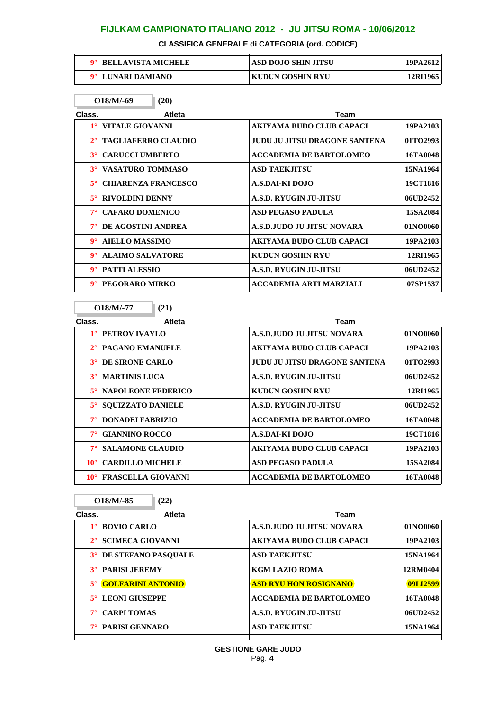**CLASSIFICA GENERALE di CATEGORIA (ord. CODICE)**

| <b>BELLAVISTA MICHELE</b> | ASD DOJO SHIN JITSU | 19PA2612 |
|---------------------------|---------------------|----------|
| 9° LUNARI DAMIANO         | KUDUN GOSHIN RYU    | 12RI1965 |

|             | $O18/M/-69$<br>(20)        |                                      |                 |
|-------------|----------------------------|--------------------------------------|-----------------|
| Class.      | <b>Atleta</b>              | <b>Team</b>                          |                 |
| $1^{\circ}$ | <b>VITALE GIOVANNI</b>     | <b>AKIYAMA BUDO CLUB CAPACI</b>      | 19PA2103        |
| $2^{\circ}$ | <b>TAGLIAFERRO CLAUDIO</b> | <b>JUDU JU JITSU DRAGONE SANTENA</b> | 01TO2993        |
| $3^\circ$   | <b>CARUCCI UMBERTO</b>     | <b>ACCADEMIA DE BARTOLOMEO</b>       | 16TA0048        |
| $3^\circ$   | <b>VASATURO TOMMASO</b>    | <b>ASD TAEKJITSU</b>                 | 15NA1964        |
| $5^\circ$   | <b>CHIARENZA FRANCESCO</b> | A.S.DAI-KI DOJO                      | 19CT1816        |
| $5^\circ$   | <b>RIVOLDINI DENNY</b>     | A.S.D. RYUGIN JU-JITSU               | 06UD2452        |
| $7^\circ$   | <b>CAFARO DOMENICO</b>     | <b>ASD PEGASO PADULA</b>             | <b>15SA2084</b> |
| $7^\circ$   | DE AGOSTINI ANDREA         | A.S.D.JUDO JU JITSU NOVARA           | 01NO0060        |
| $9^\circ$   | <b>AIELLO MASSIMO</b>      | AKIYAMA BUDO CLUB CAPACI             | 19PA2103        |
| $9^\circ$   | <b>ALAIMO SALVATORE</b>    | <b>KUDUN GOSHIN RYU</b>              | 12RI1965        |
| $9^\circ$   | <b>PATTI ALESSIO</b>       | A.S.D. RYUGIN JU-JITSU               | 06UD2452        |
| $9^\circ$   | PEGORARO MIRKO             | ACCADEMIA ARTI MARZIALI              | 07SP1537        |

**O18/M/-77 (21)**

ľ

 $\mathbb{I}$ 

| Class.       | <b>Atleta</b>             | Team                           |          |
|--------------|---------------------------|--------------------------------|----------|
| $1^{\circ}$  | PETROV IVAYLO             | A.S.D.JUDO JU JITSU NOVARA     | 01NO0060 |
| $2^{\circ}$  | <b>PAGANO EMANUELE</b>    | AKIYAMA BUDO CLUB CAPACI       | 19PA2103 |
| $3^\circ$    | <b>DE SIRONE CARLO</b>    | JUDU JU JITSU DRAGONE SANTENA  | 01TO2993 |
| $3^\circ$    | <b>MARTINIS LUCA</b>      | A.S.D. RYUGIN JU-JITSU         | 06UD2452 |
| $5^\circ$    | <b>NAPOLEONE FEDERICO</b> | <b>KUDUN GOSHIN RYU</b>        | 12RI1965 |
| $5^\circ$    | <b>SOUIZZATO DANIELE</b>  | A.S.D. RYUGIN JU-JITSU         | 06UD2452 |
| $7^\circ$    | <b>DONADEI FABRIZIO</b>   | <b>ACCADEMIA DE BARTOLOMEO</b> | 16TA0048 |
| $7^\circ$    | <b>GIANNINO ROCCO</b>     | A.S.DAI-KI DOJO                | 19CT1816 |
| $7^\circ$    | <b>SALAMONE CLAUDIO</b>   | AKIYAMA BUDO CLUB CAPACI       | 19PA2103 |
| $10^{\circ}$ | <b>CARDILLO MICHELE</b>   | <b>ASD PEGASO PADULA</b>       | 15SA2084 |
| $10^{\circ}$ | <b>FRASCELLA GIOVANNI</b> | <b>ACCADEMIA DE BARTOLOMEO</b> | 16TA0048 |

|             | $O18/M/-.85$<br>(22)     |                                 |          |
|-------------|--------------------------|---------------------------------|----------|
| Class.      | <b>Atleta</b>            | Team                            |          |
| $1^{\circ}$ | <b>BOVIO CARLO</b>       | A.S.D.JUDO JU JITSU NOVARA      | 01NO0060 |
| $2^{\circ}$ | <b>SCIMECA GIOVANNI</b>  | <b>AKIYAMA BUDO CLUB CAPACI</b> | 19PA2103 |
| $3^\circ$   | DE STEFANO PASOUALE      | <b>ASD TAEKJITSU</b>            | 15NA1964 |
| $3^\circ$   | <b>PARISI JEREMY</b>     | KGM LAZIO ROMA                  | 12RM0404 |
| $5^{\circ}$ | <b>GOLFARINI ANTONIO</b> | <b>ASD RYU HON ROSIGNANO</b>    | 09LI2599 |
| $5^{\circ}$ | <b>LEONI GIUSEPPE</b>    | <b>ACCADEMIA DE BARTOLOMEO</b>  | 16TA0048 |
| $7^\circ$   | <b>CARPI TOMAS</b>       | A.S.D. RYUGIN JU-JITSU          | 06UD2452 |
| $7^\circ$   | <b>PARISI GENNARO</b>    | <b>ASD TAEKJITSU</b>            | 15NA1964 |
|             |                          |                                 |          |